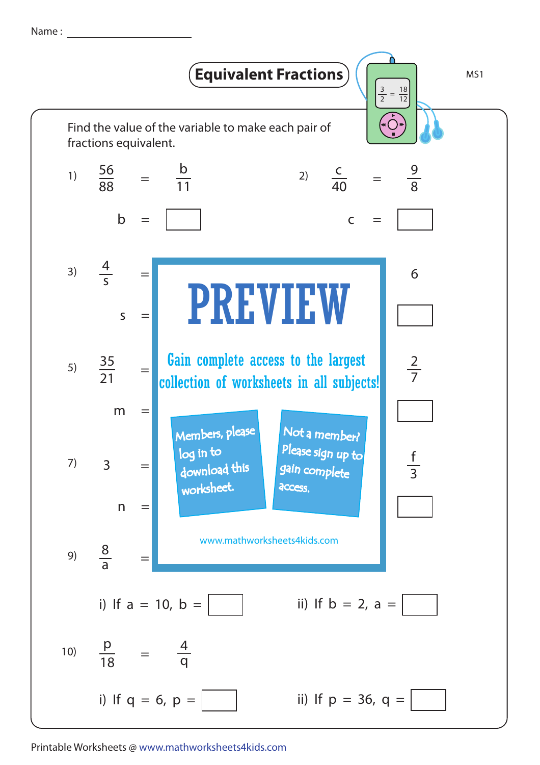Name :